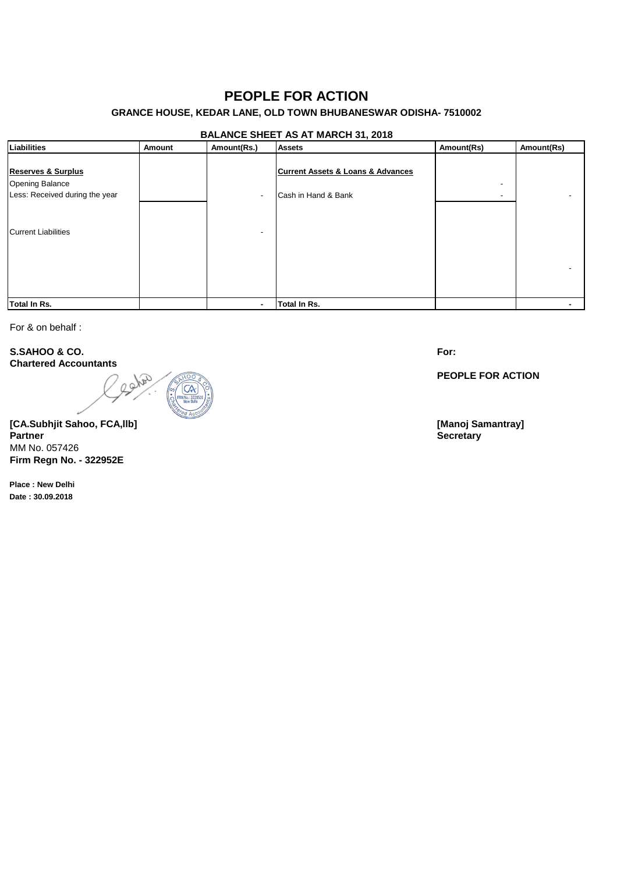# **PEOPLE FOR ACTION**

## **GRANCE HOUSE, KEDAR LANE, OLD TOWN BHUBANESWAR ODISHA- 7510002**

### **BALANCE SHEET AS AT MARCH 31, 2018**

| Liabilities                                                                        | Amount | Amount(Rs.) | <b>Assets</b>                                                           | Amount(Rs) | Amount(Rs) |
|------------------------------------------------------------------------------------|--------|-------------|-------------------------------------------------------------------------|------------|------------|
| <b>Reserves &amp; Surplus</b><br>Opening Balance<br>Less: Received during the year |        |             | <b>Current Assets &amp; Loans &amp; Advances</b><br>Cash in Hand & Bank |            |            |
| <b>Current Liabilities</b>                                                         |        |             |                                                                         |            |            |
| Total In Rs.                                                                       |        |             | <b>Total In Rs.</b>                                                     |            |            |

For & on behalf :

**S.SAHOO & CO. Chartered Accountants**



**[CA.Subhjit Sahoo, FCA,llb] [Manoj Samantray] Partner Secretary** MM No. 057426 **Firm Regn No. - 322952E**

**Place : New Delhi Date : 30.09.2018**

**For:**

**PEOPLE FOR ACTION**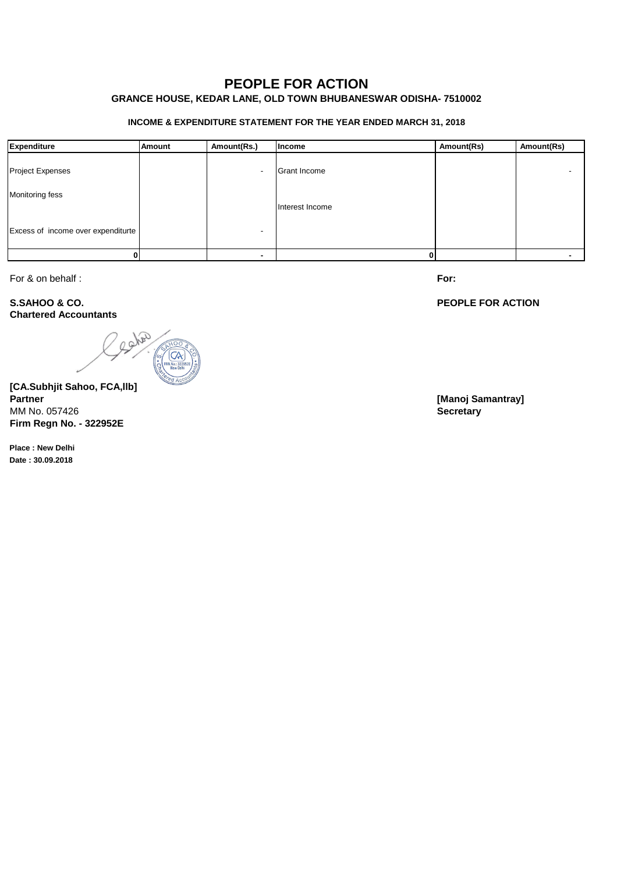# **PEOPLE FOR ACTION**

# **GRANCE HOUSE, KEDAR LANE, OLD TOWN BHUBANESWAR ODISHA- 7510002**

#### **INCOME & EXPENDITURE STATEMENT FOR THE YEAR ENDED MARCH 31, 2018**

| Expenditure                        | <b>Amount</b> | Amount(Rs.) | Income          | Amount(Rs) | Amount(Rs) |
|------------------------------------|---------------|-------------|-----------------|------------|------------|
| <b>Project Expenses</b>            |               |             | Grant Income    |            |            |
| Monitoring fess                    |               |             | Interest Income |            |            |
| Excess of income over expenditurte |               |             |                 |            |            |
|                                    |               |             |                 |            |            |

For & on behalf :

**S.SAHOO & CO. Chartered Accountants**

solar

**[CA.Subhjit Sahoo, FCA,llb] Partner [Manoj Samantray]** MM No. 057426 **Secretary Firm Regn No. - 322952E**

**Place : New Delhi Date : 30.09.2018**

**For:**

**PEOPLE FOR ACTION**